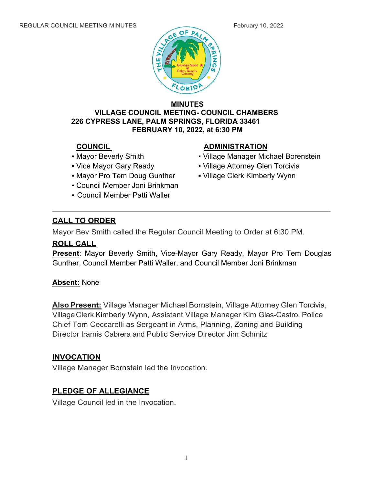

### **MINUTES VILLAGE COUNCIL MEETING- COUNCIL CHAMBERS 226 CYPRESS LANE, PALM SPRINGS, FLORIDA 33461 FEBRUARY 10, 2022, at 6:30 PM**

- 
- 
- Mayor Pro Tem Doug Gunther **▪** Village Clerk Kimberly Wynn
- Council Member Joni Brinkman
- Council Member Patti Waller

# **CALL TO ORDER**

Mayor Bev Smith called the Regular Council Meeting to Order at 6:30 PM.

## **ROLL CALL**

**Present**: Mayor Beverly Smith, Vice-Mayor Gary Ready, Mayor Pro Tem Douglas Gunther, Council Member Patti Waller, and Council Member Joni Brinkman

## **Absent:** None

**Also Present:** Village Manager Michael Bornstein, Village Attorney Glen Torcivia, Village Clerk Kimberly Wynn, Assistant Village Manager Kim Glas-Castro, Police Chief Tom Ceccarelli as Sergeant in Arms, Planning, Zoning and Building Director lramis Cabrera and Public Service Director Jim Schmitz

#### **INVOCATION**

Village Manager Bornstein led the Invocation.

## **PLEDGE OF ALLEGIANCE**

Village Council led in the Invocation.

## **COUNCIL ADMINISTRATION**

- Mayor Beverly Smith Village Manager Michael Borenstein
- Vice Mayor Gary Ready Village Attorney Glen Torcivia
	-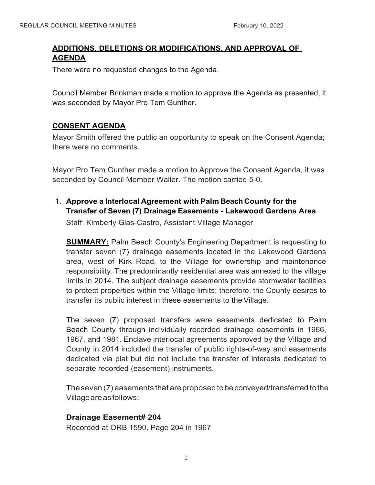# **ADDITIONS, DELETIONS OR MODIFICATIONS, AND APPROVAL OF AGENDA**

There were no requested changes to the Agenda.

Council Member Brinkman made a motion to approve the Agenda as presented, it was seconded by Mayor Pro Tem Gunther.

# **CONSENT AGENDA**

Mayor Smith offered the public an opportunity to speak on the Consent Agenda; there were no comments.

Mayor Pro Tem Gunther made a motion to Approve the Consent Agenda, it was seconded by Council Member Waller. The motion carried 5-0.

1. **Approve a lnterlocal Agreement with Palm Beach County for the Transfer of Seven (7) Drainage Easements - Lakewood Gardens Area**

Staff: Kimberly Glas-Castro, Assistant Village Manager

**SUMMARY:** Palm Beach County's Engineering Department is requesting to transfer seven (7) drainage easements located in the Lakewood Gardens area, west of Kirk Road, to the Village for ownership and maintenance responsibility. The predominantly residential area was annexed to the village limits in 2014. The subject drainage easements provide stormwater facilities to protect properties within the Village limits; therefore, the County desires to transfer its public interest in these easements to the Village.

The seven (7) proposed transfers were easements dedicated to Palm Beach County through individually recorded drainage easements in 1966, 1967, and 1981. Enclave interlocal agreements approved by the Village and County in 2014 included the transfer of public rights-of-way and easements dedicated via plat but did not include the transfer of interests dedicated to separate recorded (easement) instruments.

The seven (7) easements that are proposed to be conveyed/transferred to the Village are as follows:

# **Drainage Easement# 204**

Recorded at ORB 1590, Page 204 in 1967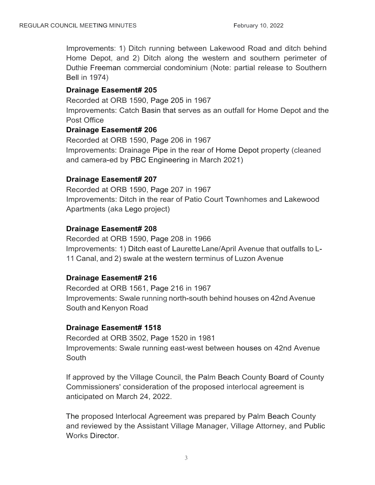Improvements: 1) Ditch running between Lakewood Road and ditch behind Home Depot, and 2) Ditch along the western and southern perimeter of Duthie Freeman commercial condominium (Note: partial release to Southern Bell in 1974)

## **Drainage Easement# 205**

Recorded at ORB 1590, Page 205 in 1967

Improvements: Catch Basin that serves as an outfall for Home Depot and the Post Office

## **Drainage Easement# 206**

Recorded at ORB 1590, Page 206 in 1967 Improvements: Drainage Pipe in the rear of Home Depot property (cleaned and camera-ed by PBC Engineering in March 2021)

## **Drainage Easement# 207**

Recorded at ORB 1590, Page 207 in 1967 Improvements: Ditch in the rear of Patio Court Townhomes and Lakewood Apartments (aka Lego project)

## **Drainage Easement# 208**

Recorded at ORB 1590, Page 208 in 1966 Improvements: 1) Ditch east of Laurette Lane/April Avenue that outfalls to L-11 Canal, and 2) swale at the western terminus of Luzon Avenue

## **Drainage Easement# 216**

Recorded at ORB 1561, Page 216 in 1967 Improvements: Swale running north-south behind houses on 42nd Avenue South and Kenyon Road

## **Drainage Easement# 1518**

Recorded at ORB 3502, Page 1520 in 1981 Improvements: Swale running east-west between houses on 42nd Avenue South

If approved by the Village Council, the Palm Beach County Board of County Commissioners' consideration of the proposed interlocal agreement is anticipated on March 24, 2022.

The proposed lnterlocal Agreement was prepared by Palm Beach County and reviewed by the Assistant Village Manager, Village Attorney, and Public Works Director.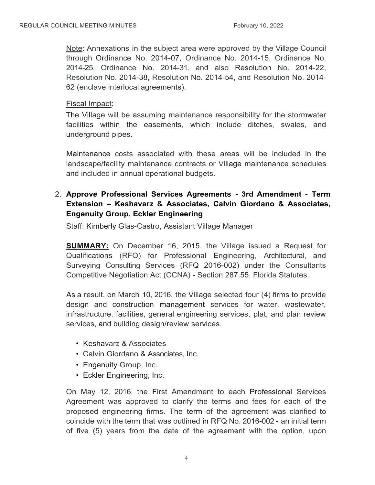Note: Annexations in the subject area were approved by the Village Council through Ordinance No. 2014-07, Ordinance No. 2014-15, Ordinance No. 2014-25, Ordinance No. 2014-31, and also Resolution No. 2014-22, Resolution No. 2014-38, Resolution No. 2014-54, and Resolution No. 2014- 62 (enclave interlocal agreements).

## Fiscal Impact:

The Village will be assuming maintenance responsibility for the stormwater facilities within the easements, which include ditches, swales, and underground pipes.

Maintenance costs associated with these areas will be included in the landscape/facility maintenance contracts or Village maintenance schedules and included in annual operational budgets.

# 2. **Approve Professional Services Agreements - 3rd Amendment - Term Extension – Keshavarz & Associates, Calvin Giordano & Associates, Engenuity Group, Eckler Engineering**

Staff: Kimberly Glas-Castro, Assistant Village Manager

**SUMMARY:** On December 16, 2015, the Village issued a Request for Qualifications (RFQ) for Professional Engineering, Architectural, and Surveying Consulting Services (RFQ 2016-002) under the Consultants Competitive Negotiation Act (CCNA) - Section 287.55, Florida Statutes.

As a result, on March 10, 2016, the Village selected four (4) firms to provide design and construction management services for water, wastewater, infrastructure, facilities, general engineering services, plat, and plan review services, and building design/review services.

- Keshavarz & Associates
- Calvin Giordano & Associates, Inc.
- Engenuity Group, Inc.
- Eckler Engineering, Inc.

On May 12, 2016, the First Amendment to each Professional Services Agreement was approved to clarify the terms and fees for each of the proposed engineering firms. The term of the agreement was clarified to coincide with the term that was outlined in RFQ No. 2016-002 - an initial term of five (5) years from the date of the agreement with the option, upon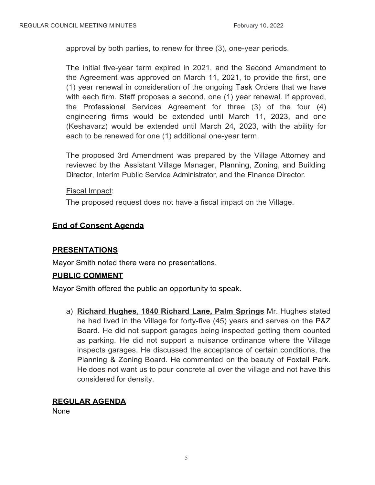approval by both parties, to renew for three (3), one-year periods.

The initial five-year term expired in 2021, and the Second Amendment to the Agreement was approved on March 11, 2021, to provide the first, one (1) year renewal in consideration of the ongoing Task Orders that we have with each firm. Staff proposes a second, one (1) year renewal. If approved, the Professional Services Agreement for three (3) of the four (4) engineering firms would be extended until March 11, 2023, and one (Keshavarz) would be extended until March 24, 2023, with the ability for each to be renewed for one (1) additional one-year term.

The proposed 3rd Amendment was prepared by the Village Attorney and reviewed by the Assistant Village Manager, Planning, Zoning, and Building Director, Interim Public Service Administrator, and the Finance Director.

Fiscal Impact:

The proposed request does not have a fiscal impact on the Village.

## **End of Consent Agenda**

## **PRESENTATIONS**

Mayor Smith noted there were no presentations.

## **PUBLIC COMMENT**

Mayor Smith offered the public an opportunity to speak.

a) **Richard Hughes, 1840 Richard Lane, Palm Springs** Mr. Hughes stated he had lived in the Village for forty-five (45) years and serves on the P&Z Board. He did not support garages being inspected getting them counted as parking. He did not support a nuisance ordinance where the Village inspects garages. He discussed the acceptance of certain conditions, the Planning & Zoning Board. He commented on the beauty of Foxtail Park. He does not want us to pour concrete all over the village and not have this considered for density.

## **REGULAR AGENDA**

None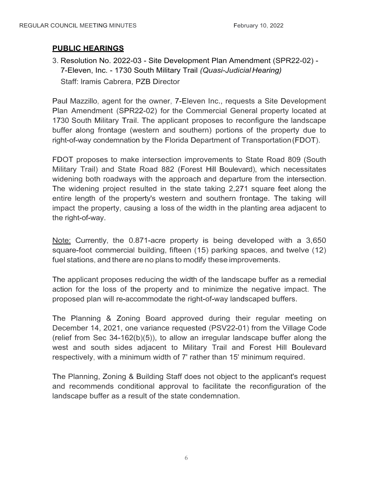## **PUBLIC HEARINGS**

3. Resolution No. 2022-03 - Site Development Plan Amendment (SPR22-02) - 7-Eleven, Inc. - 1730 South Military Trail *(Quasi-Judicial Hearing)* Staff: lramis Cabrera, PZB Director

Paul Mazzillo, agent for the owner, 7-Eleven Inc., requests a Site Development Plan Amendment (SPR22-02) for the Commercial General property located at 1730 South Military Trail. The applicant proposes to reconfigure the landscape buffer along frontage (western and southern) portions of the property due to right-of-way condemnation by the Florida Department of Transportation (FDOT).

FDOT proposes to make intersection improvements to State Road 809 (South Military Trail) and State Road 882 (Forest Hill Boulevard), which necessitates widening both roadways with the approach and departure from the intersection. The widening project resulted in the state taking 2,271 square feet along the entire length of the property's western and southern frontage. The taking will impact the property, causing a loss of the width in the planting area adjacent to the right-of-way.

Note: Currently, the 0.871-acre property is being developed with a 3,650 square-foot commercial building, fifteen (15) parking spaces, and twelve (12) fuel stations, and there are no plans to modify these improvements.

The applicant proposes reducing the width of the landscape buffer as a remedial action for the loss of the property and to minimize the negative impact. The proposed plan will re-accommodate the right-of-way landscaped buffers.

The Planning & Zoning Board approved during their regular meeting on December 14, 2021, one variance requested (PSV22-01) from the Village Code (relief from Sec 34-162(b)(5)), to allow an irregular landscape buffer along the west and south sides adjacent to Military Trail and Forest Hill Boulevard respectively, with a minimum width of 7' rather than 15' minimum required.

The Planning, Zoning & Building Staff does not object to the applicant's request and recommends conditional approval to facilitate the reconfiguration of the landscape buffer as a result of the state condemnation.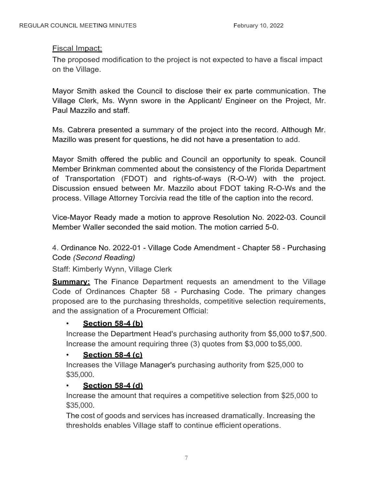### Fiscal Impact:

The proposed modification to the project is not expected to have a fiscal impact on the Village.

Mayor Smith asked the Council to disclose their ex parte communication. The Village Clerk, Ms. Wynn swore in the Applicant/ Engineer on the Project, Mr. Paul Mazzilo and staff.

Ms. Cabrera presented a summary of the project into the record. Although Mr. Mazillo was present for questions, he did not have a presentation to add.

Mayor Smith offered the public and Council an opportunity to speak. Council Member Brinkman commented about the consistency of the Florida Department of Transportation (FDOT) and rights-of-ways (R-O-W) with the project. Discussion ensued between Mr. Mazzilo about FDOT taking R-O-Ws and the process. Village Attorney Torcivia read the title of the caption into the record.

Vice-Mayor Ready made a motion to approve Resolution No. 2022-03. Council Member Waller seconded the said motion. The motion carried 5-0.

4. Ordinance No. 2022-01 - Village Code Amendment - Chapter 58 - Purchasing Code *(Second Reading)*

Staff: Kimberly Wynn, Village Clerk

**Summary:** The Finance Department requests an amendment to the Village Code of Ordinances Chapter 58 - Purchasing Code. The primary changes proposed are to the purchasing thresholds, competitive selection requirements, and the assignation of a Procurement Official:

## • **Section 58-4 (b)**

Increase the Department Head's purchasing authority from \$5,000 to \$7,500. Increase the amount requiring three (3) quotes from \$3,000 to \$5,000.

## • **Section 58-4 (c)**

Increases the Village Manager's purchasing authority from \$25,000 to \$35,000.

## • **Section 58-4 (d)**

Increase the amount that requires a competitive selection from \$25,000 to \$35,000.

The cost of goods and services has increased dramatically. Increasing the thresholds enables Village staff to continue efficient operations.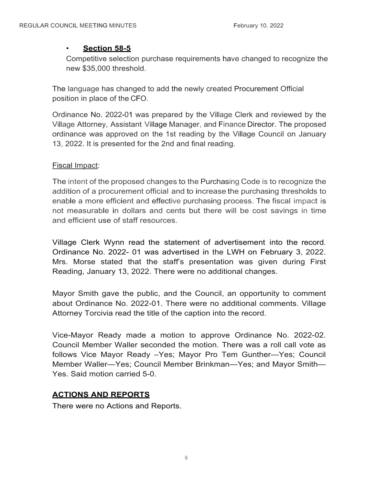## • **Section 58-5**

 Competitive selection purchase requirements have changed to recognize the new \$35,000 threshold.

The language has changed to add the newly created Procurement Official position in place of the CFO.

Ordinance No. 2022-01 was prepared by the Village Clerk and reviewed by the Village Attorney, Assistant Village Manager, and Finance Director. The proposed ordinance was approved on the 1st reading by the Village Council on January 13, 2022. It is presented for the 2nd and final reading.

### Fiscal Impact:

The intent of the proposed changes to the Purchasing Code is to recognize the addition of a procurement official and to increase the purchasing thresholds to enable a more efficient and effective purchasing process. The fiscal impact is not measurable in dollars and cents but there will be cost savings in time and efficient use of staff resources.

Village Clerk Wynn read the statement of advertisement into the record. Ordinance No. 2022- 01 was advertised in the LWH on February 3, 2022. Mrs. Morse stated that the staff's presentation was given during First Reading, January 13, 2022. There were no additional changes.

Mayor Smith gave the public, and the Council, an opportunity to comment about Ordinance No. 2022-01. There were no additional comments. Village Attorney Torcivia read the title of the caption into the record.

Vice-Mayor Ready made a motion to approve Ordinance No. 2022-02. Council Member Waller seconded the motion. There was a roll call vote as follows Vice Mayor Ready –Yes; Mayor Pro Tem Gunther—Yes; Council Member Waller—Yes; Council Member Brinkman—Yes; and Mayor Smith— Yes. Said motion carried 5-0.

## **ACTIONS AND REPORTS**

There were no Actions and Reports.